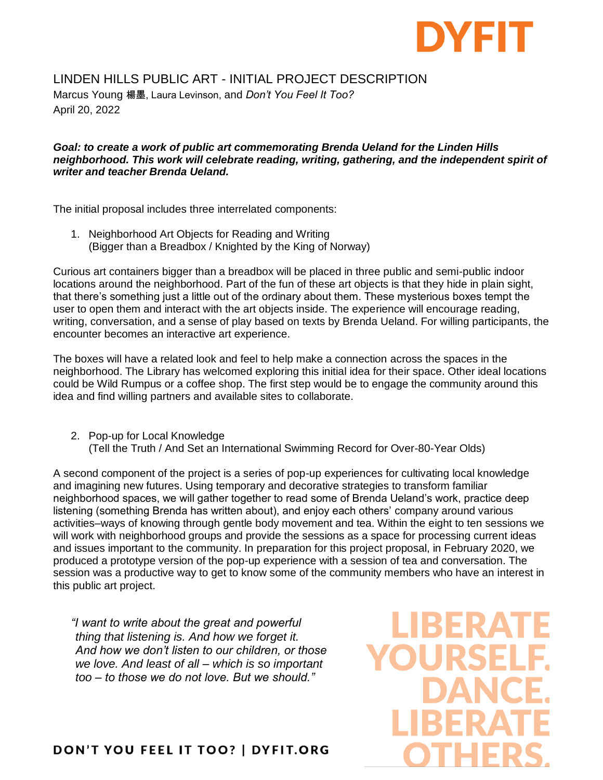

## LINDEN HILLS PUBLIC ART - INITIAL PROJECT DESCRIPTION

Marcus Young 楊墨, Laura Levinson, and *Don't You Feel It Too?* April 20, 2022

## *Goal: to create a work of public art commemorating Brenda Ueland for the Linden Hills neighborhood. This work will celebrate reading, writing, gathering, and the independent spirit of writer and teacher Brenda Ueland.*

The initial proposal includes three interrelated components:

1. Neighborhood Art Objects for Reading and Writing (Bigger than a Breadbox / Knighted by the King of Norway)

Curious art containers bigger than a breadbox will be placed in three public and semi-public indoor locations around the neighborhood. Part of the fun of these art objects is that they hide in plain sight, that there's something just a little out of the ordinary about them. These mysterious boxes tempt the user to open them and interact with the art objects inside. The experience will encourage reading, writing, conversation, and a sense of play based on texts by Brenda Ueland. For willing participants, the encounter becomes an interactive art experience.

The boxes will have a related look and feel to help make a connection across the spaces in the neighborhood. The Library has welcomed exploring this initial idea for their space. Other ideal locations could be Wild Rumpus or a coffee shop. The first step would be to engage the community around this idea and find willing partners and available sites to collaborate.

2. Pop-up for Local Knowledge (Tell the Truth / And Set an International Swimming Record for Over-80-Year Olds)

A second component of the project is a series of pop-up experiences for cultivating local knowledge and imagining new futures. Using temporary and decorative strategies to transform familiar neighborhood spaces, we will gather together to read some of Brenda Ueland's work, practice deep listening (something Brenda has written about), and enjoy each others' company around various activities–ways of knowing through gentle body movement and tea. Within the eight to ten sessions we will work with neighborhood groups and provide the sessions as a space for processing current ideas and issues important to the community. In preparation for this project proposal, in February 2020, we produced a prototype version of the pop-up experience with a session of tea and conversation. The session was a productive way to get to know some of the community members who have an interest in this public art project.

*"I want to write about the great and powerful thing that listening is. And how we forget it. And how we don't listen to our children, or those we love. And least of all – which is so important too – to those we do not love. But we should."*

**DON'T YOU FEEL IT TOO? | DYFIT.ORG** 

**IBERA**